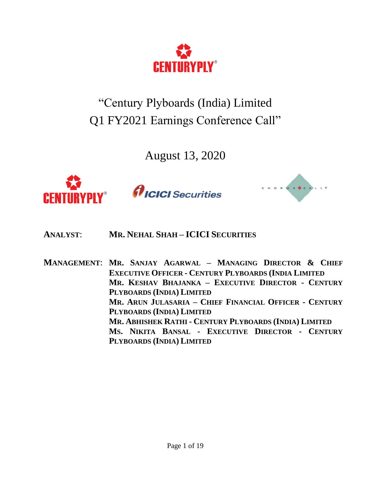

"Century Plyboards (India) Limited Q1 FY2021 Earnings Conference Call"

August 13, 2020



*AICICI* Securities



- **ANALYST**: **MR. NEHAL SHAH – ICICI SECURITIES**
- **MANAGEMENT**: **MR. SANJAY AGARWAL – MANAGING DIRECTOR & CHIEF EXECUTIVE OFFICER - CENTURY PLYBOARDS (INDIA LIMITED MR. KESHAV BHAJANKA – EXECUTIVE DIRECTOR - CENTURY PLYBOARDS (INDIA) LIMITED MR. ARUN JULASARIA – CHIEF FINANCIAL OFFICER - CENTURY PLYBOARDS (INDIA) LIMITED MR. ABHISHEK RATHI - CENTURY PLYBOARDS (INDIA) LIMITED MS. NIKITA BANSAL - EXECUTIVE DIRECTOR - CENTURY PLYBOARDS (INDIA) LIMITED**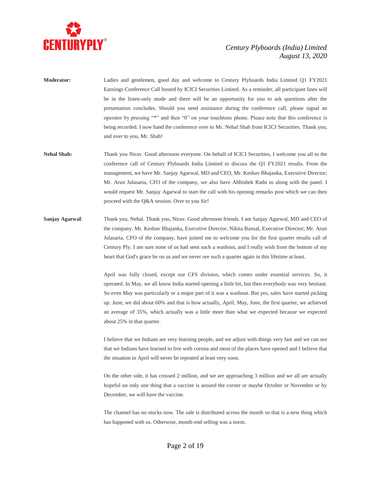

- **Moderator:** Ladies and gentlemen, good day and welcome to Century Plyboards India Limited Q1 FY2021 Earnings Conference Call hosted by ICICI Securities Limited. As a reminder, all participant lines will be in the listen-only mode and there will be an opportunity for you to ask questions after the presentation concludes. Should you need assistance during the conference call, please signal an operator by pressing "\*" and then "0" on your touchtone phone. Please note that this conference is being recorded. I now hand the conference over to Mr. Nehal Shah from ICICI Securities. Thank you, and over to you, Mr. Shah!
- **Nehal Shah:** Thank you Nirav. Good afternoon everyone. On behalf of ICICI Securities, I welcome you all to the conference call of Century Plyboards India Limited to discuss the Q1 FY2021 results. From the management, we have Mr. Sanjay Agarwal, MD and CEO, Mr. Keshav Bhajanka, Executive Director; Mr. Arun Julasaria, CFO of the company, we also have Abhishek Rathi to along with the panel. I would request Mr. Sanjay Agarwal to start the call with his opening remarks post which we can then proceed with the Q&A session. Over to you Sir!
- **Sanjay Agarwal**: Thank you, Nehal. Thank you, Nirav. Good afternoon friends. I am Sanjay Agarwal, MD and CEO of the company. Mr. Keshav Bhajanka, Executive Director; Nikita Bansal, Executive Director; Mr. Arun Julasaria, CFO of the company, have joined me to welcome you for the first quarter results call of Century Ply. I am sure none of us had seen such a washout, and I really wish from the bottom of my heart that God's grace be on us and we never see such a quarter again in this lifetime at least.

April was fully closed, except our CFS division, which comes under essential services. So, it operated. In May, we all know India started opening a little bit, but then everybody was very hesitant. So even May was particularly or a major part of it was a washout. But yes, sales have started picking up. June, we did about 60% and that is how actually, April, May, June, the first quarter, we achieved an average of 35%, which actually was a little more than what we expected because we expected about 25% in that quarter.

I believe that we Indians are very learning people, and we adjust with things very fast and we can see that we Indians have learned to live with corona and most of the places have opened and I believe that the situation in April will never be repeated at least very soon.

On the other side, it has crossed 2 million, and we are approaching 3 million and we all are actually hopeful on only one thing that a vaccine is around the corner or maybe October or November or by December, we will have the vaccine.

The channel has no stocks now. The sale is distributed across the month so that is a new thing which has happened with us. Otherwise, month-end selling was a norm.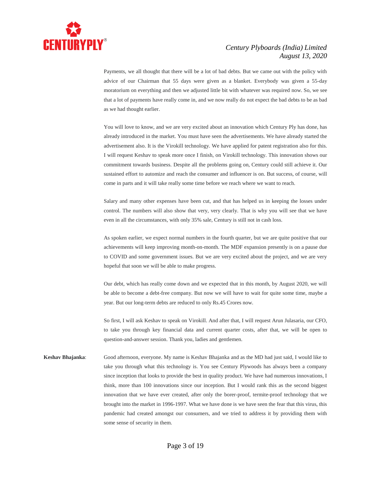

Payments, we all thought that there will be a lot of bad debts. But we came out with the policy with advice of our Chairman that 55 days were given as a blanket. Everybody was given a 55-day moratorium on everything and then we adjusted little bit with whatever was required now. So, we see that a lot of payments have really come in, and we now really do not expect the bad debts to be as bad as we had thought earlier.

You will love to know, and we are very excited about an innovation which Century Ply has done, has already introduced in the market. You must have seen the advertisements. We have already started the advertisement also. It is the Virokill technology. We have applied for patent registration also for this. I will request Keshav to speak more once I finish, on Virokill technology. This innovation shows our commitment towards business. Despite all the problems going on, Century could still achieve it. Our sustained effort to automize and reach the consumer and influencer is on. But success, of course, will come in parts and it will take really some time before we reach where we want to reach.

Salary and many other expenses have been cut, and that has helped us in keeping the losses under control. The numbers will also show that very, very clearly. That is why you will see that we have even in all the circumstances, with only 35% sale, Century is still not in cash loss.

As spoken earlier, we expect normal numbers in the fourth quarter, but we are quite positive that our achievements will keep improving month-on-month. The MDF expansion presently is on a pause due to COVID and some government issues. But we are very excited about the project, and we are very hopeful that soon we will be able to make progress.

Our debt, which has really come down and we expected that in this month, by August 2020, we will be able to become a debt-free company. But now we will have to wait for quite some time, maybe a year. But our long-term debts are reduced to only Rs.45 Crores now.

So first, I will ask Keshav to speak on Virokill. And after that, I will request Arun Julasaria, our CFO, to take you through key financial data and current quarter costs, after that, we will be open to question-and-answer session. Thank you, ladies and gentlemen.

**Keshav Bhajanka**: Good afternoon, everyone. My name is Keshav Bhajanka and as the MD had just said, I would like to take you through what this technology is. You see Century Plywoods has always been a company since inception that looks to provide the best in quality product. We have had numerous innovations, I think, more than 100 innovations since our inception. But I would rank this as the second biggest innovation that we have ever created, after only the borer-proof, termite-proof technology that we brought into the market in 1996-1997. What we have done is we have seen the fear that this virus, this pandemic had created amongst our consumers, and we tried to address it by providing them with some sense of security in them.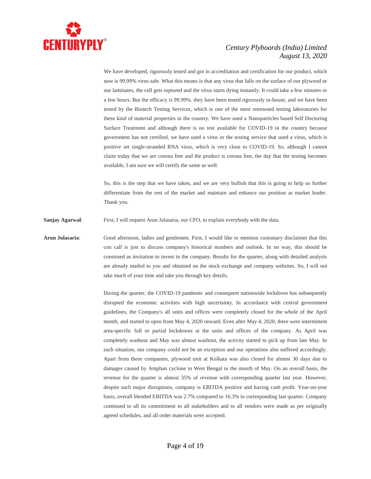

We have developed, rigorously tested and got in accreditation and certification for our product, which now is 99.99% virus safe. What this means is that any virus that falls on the surface of our plywood or our laminates, the cell gets ruptured and the virus starts dying instantly. It could take a few minutes or a few hours. But the efficacy is 99.99%. they have been tested rigorously in-house, and we have been tested by the Biotech Testing Services, which is one of the most renowned testing laboratories for these kind of material properties in the country. We have used a Nanoparticles based Self Doctoring Surface Treatment and although there is no test available for COVID-19 in the country because government has not certified, we have used a virus or the testing service that used a virus, which is positive set single-stranded RNA virus, which is very close to COVID-19. So, although I cannot claim today that we are corona free and the product is corona free, the day that the testing becomes available, I am sure we will certify the same as well.

So, this is the step that we have taken, and we are very bullish that this is going to help us further differentiate from the rest of the market and maintain and enhance our position as market leader. Thank you.

**Sanjay Agarwal**: First, I will request Arun Julasaria, our CFO, to explain everybody with the data.

**Arun Julasaria**: Good afternoon, ladies and gentlemen. First, I would like to mention customary disclaimer that this con call is just to discuss company's historical numbers and outlook. In no way, this should be construed as invitation to invest in the company. Results for the quarter, along with detailed analysis are already mailed to you and obtained on the stock exchange and company websites. So, I will not take much of your time and take you through key details.

> During the quarter, the COVID-19 pandemic and consequent nationwide lockdown has subsequently disrupted the economic activities with high uncertainty. In accordance with central government guidelines, the Company's all units and offices were completely closed for the whole of the April month, and started to open from May 4, 2020 onward. Even after May 4, 2020, there were intermittent area-specific full or partial lockdowns at the units and offices of the company. As April was completely washout and May was almost washout, the activity started to pick up from late May. In such situation, our company could not be an exception and our operations also suffered accordingly. Apart from these companies, plywood unit at Kolkata was also closed for almost 30 days due to damages caused by Amphan cyclone in West Bengal in the month of May. On an overall basis, the revenue for the quarter is almost 35% of revenue with corresponding quarter last year. However, despite such major disruptions, company is EBITDA positive and having cash profit. Year-on-year basis, overall blended EBITDA was 2.7% compared to 16.3% in corresponding last quarter. Company continued to all its commitment to all stakeholders and to all vendors were made as per originally agreed schedules, and all order materials were accepted.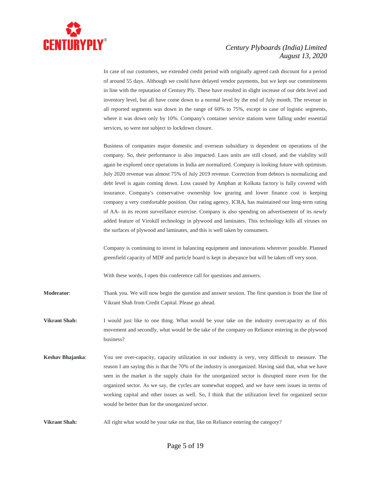

In case of our customers, we extended credit period with originally agreed cash discount for a period of around 55 days. Although we could have delayed vendor payments, but we kept our commitments in line with the reputation of Century Ply. These have resulted in slight increase of our debt level and inventory level, but all have come down to a normal level by the end of July month. The revenue in all reported segments was down in the range of 60% to 75%, except in case of logistic segments, where it was down only by 10%. Company's container service stations were falling under essential services, so were not subject to lockdown closure.

Business of companies major domestic and overseas subsidiary is dependent on operations of the company. So, their performance is also impacted. Laos units are still closed, and the viability will again be explored once operations in India are normalized. Company is looking future with optimism. July 2020 revenue was almost 75% of July 2019 revenue. Correction from debtors is normalizing and debt level is again coming down. Loss caused by Amphan at Kolkata factory is fully covered with insurance. Company's conservative ownership low gearing and lower finance cost is keeping company a very comfortable position. Our rating agency, ICRA, has maintained our long-term rating of AA- in its recent surveillance exercise. Company is also spending on advertisement of its newly added feature of Virokill technology in plywood and laminates. This technology kills all viruses on the surfaces of plywood and laminates, and this is well taken by consumers.

Company is continuing to invest in balancing equipment and innovations wherever possible. Planned greenfield capacity of MDF and particle board is kept in abeyance but will be taken off very soon.

With these words, I open this conference call for questions and answers.

**Moderator**: Thank you. We will now begin the question and answer session. The first question is from the line of Vikrant Shah from Credit Capital. Please go ahead.

**Vikrant Shah:** I would just like to one thing. What would be your take on the industry overcapacity as of this movement and secondly, what would be the take of the company on Reliance entering in the plywood business?

**Keshav Bhajanka**: You see over-capacity, capacity utilization in our industry is very, very difficult to measure. The reason I am saying this is that the 70% of the industry is unorganized. Having said that, what we have seen in the market is the supply chain for the unorganized sector is disrupted more even for the organized sector. As we say, the cycles are somewhat stopped, and we have seen issues in terms of working capital and other issues as well. So, I think that the utilization level for organized sector would be better than for the unorganized sector.

**Vikrant Shah:** All right what would be your take on that, like on Reliance entering the category?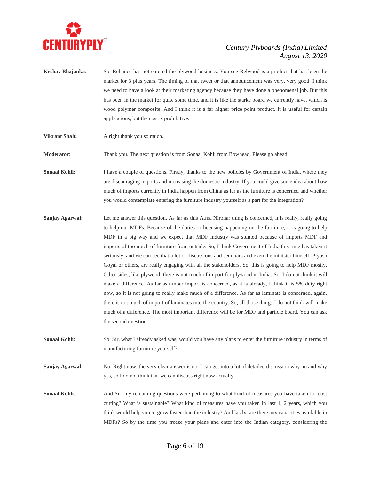

- **Keshav Bhajanka**: So, Reliance has not entered the plywood business. You see Relwood is a product that has been the market for 3 plus years. The timing of that tweet or that announcement was very, very good. I think we need to have a look at their marketing agency because they have done a phenomenal job. But this has been in the market for quite some time, and it is like the starke board we currently have, which is wood polymer composite. And I think it is a far higher price point product. It is useful for certain applications, but the cost is prohibitive.
- **Vikrant Shah:** Alright thank you so much.

**Moderator:** Thank you. The next question is from Sonaal Kohli from Bowhead. Please go ahead.

**Sonaal Kohli:** I have a couple of questions. Firstly, thanks to the new policies by Government of India, where they are discouraging imports and increasing the domestic industry. If you could give some idea about how much of imports currently in India happen from China as far as the furniture is concerned and whether you would contemplate entering the furniture industry yourself as a part for the integration?

**Sanjay Agarwal:** Let me answer this question. As far as this Atma Nirbhar thing is concerned, it is really, really going to help our MDFs. Because of the duties or licensing happening on the furniture, it is going to help MDF in a big way and we expect that MDF industry was stunted because of imports MDF and imports of too much of furniture from outside. So, I think Government of India this time has taken it seriously, and we can see that a lot of discussions and seminars and even the minister himself, Piyush Goyal or others, are really engaging with all the stakeholders. So, this is going to help MDF mostly. Other sides, like plywood, there is not much of import for plywood in India. So, I do not think it will make a difference. As far as timber import is concerned, as it is already, I think it is 5% duty right now, so it is not going to really make much of a difference. As far as laminate is concerned, again, there is not much of import of laminates into the country. So, all those things I do not think will make much of a difference. The most important difference will be for MDF and particle board. You can ask the second question.

**Sonaal Kohli**: So, Sir, what I already asked was, would you have any plans to enter the furniture industry in terms of manufacturing furniture yourself?

**Sanjay Agarwal**: No. Right now, the very clear answer is no. I can get into a lot of detailed discussion why no and why yes, so I do not think that we can discuss right now actually.

**Sonaal Kohli:** And Sir, my remaining questions were pertaining to what kind of measures you have taken for cost cutting? What is sustainable? What kind of measures have you taken in last 1, 2 years, which you think would help you to grow faster than the industry? And lastly, are there any capacities available in MDFs? So by the time you freeze your plans and enter into the Indian category, considering the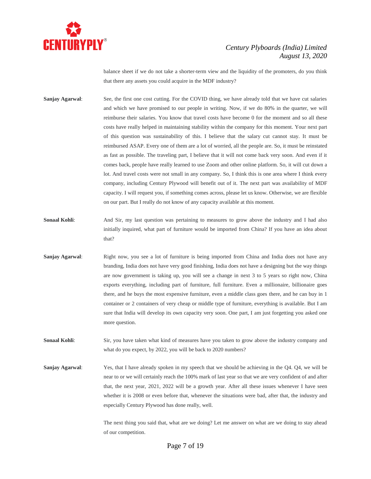

balance sheet if we do not take a shorter-term view and the liquidity of the promoters, do you think that there any assets you could acquire in the MDF industry?

- **Sanjay Agarwal:** See, the first one cost cutting. For the COVID thing, we have already told that we have cut salaries and which we have promised to our people in writing. Now, if we do 80% in the quarter, we will reimburse their salaries. You know that travel costs have become 0 for the moment and so all these costs have really helped in maintaining stability within the company for this moment. Your next part of this question was sustainability of this. I believe that the salary cut cannot stay. It must be reimbursed ASAP. Every one of them are a lot of worried, all the people are. So, it must be reinstated as fast as possible. The traveling part, I believe that it will not come back very soon. And even if it comes back, people have really learned to use Zoom and other online platform. So, it will cut down a lot. And travel costs were not small in any company. So, I think this is one area where I think every company, including Century Plywood will benefit out of it. The next part was availability of MDF capacity. I will request you, if something comes across, please let us know. Otherwise, we are flexible on our part. But I really do not know of any capacity available at this moment.
- **Sonaal Kohli:** And Sir, my last question was pertaining to measures to grow above the industry and I had also initially inquired, what part of furniture would be imported from China? If you have an idea about that?
- **Sanjay Agarwal:** Right now, you see a lot of furniture is being imported from China and India does not have any branding, India does not have very good finishing, India does not have a designing but the way things are now government is taking up, you will see a change in next 3 to 5 years so right now, China exports everything, including part of furniture, full furniture. Even a millionaire, billionaire goes there, and he buys the most expensive furniture, even a middle class goes there, and he can buy in 1 container or 2 containers of very cheap or middle type of furniture, everything is available. But I am sure that India will develop its own capacity very soon. One part, I am just forgetting you asked one more question.
- **Sonaal Kohli:** Sir, you have taken what kind of measures have you taken to grow above the industry company and what do you expect, by 2022, you will be back to 2020 numbers?
- **Sanjay Agarwal**: Yes, that I have already spoken in my speech that we should be achieving in the Q4. Q4, we will be near to or we will certainly reach the 100% mark of last year so that we are very confident of and after that, the next year, 2021, 2022 will be a growth year. After all these issues whenever I have seen whether it is 2008 or even before that, whenever the situations were bad, after that, the industry and especially Century Plywood has done really, well.

The next thing you said that, what are we doing? Let me answer on what are we doing to stay ahead of our competition.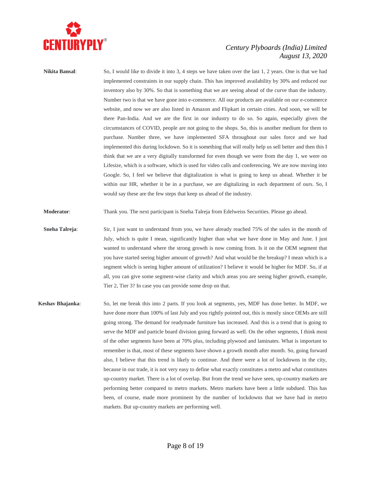

**Nikita Bansal:** So, I would like to divide it into 3, 4 steps we have taken over the last 1, 2 years. One is that we had implemented constraints in our supply chain. This has improved availability by 30% and reduced our inventory also by 30%. So that is something that we are seeing ahead of the curve than the industry. Number two is that we have gone into e-commerce. All our products are available on our e-commerce website, and now we are also listed in Amazon and Flipkart in certain cities. And soon, we will be there Pan-India. And we are the first in our industry to do so. So again, especially given the circumstances of COVID, people are not going to the shops. So, this is another medium for them to purchase. Number three, we have implemented SFA throughout our sales force and we had implemented this during lockdown. So it is something that will really help us sell better and then this I think that we are a very digitally transformed for even though we were from the day 1, we were on Lifesize, which is a software, which is used for video calls and conferencing. We are now moving into Google. So, I feel we believe that digitalization is what is going to keep us ahead. Whether it be within our HR, whether it be in a purchase, we are digitalizing in each department of ours. So, I would say these are the few steps that keep us ahead of the industry.

**Moderator**: Thank you. The next participant is Sneha Talreja from Edelweiss Securities. Please go ahead.

- **Sneha Talreja:** Sir, I just want to understand from you, we have already reached 75% of the sales in the month of July, which is quite I mean, significantly higher than what we have done in May and June. I just wanted to understand where the strong growth is now coming from. Is it on the OEM segment that you have started seeing higher amount of growth? And what would be the breakup? I mean which is a segment which is seeing higher amount of utilization? I believe it would be higher for MDF. So, if at all, you can give some segment-wise clarity and which areas you are seeing higher growth, example, Tier 2, Tier 3? In case you can provide some drop on that.
- **Keshav Bhajanka**: So, let me break this into 2 parts. If you look at segments, yes, MDF has done better. In MDF, we have done more than 100% of last July and you rightly pointed out, this is mostly since OEMs are still going strong. The demand for readymade furniture has increased. And this is a trend that is going to serve the MDF and particle board division going forward as well. On the other segments, I think most of the other segments have been at 70% plus, including plywood and laminates. What is important to remember is that, most of these segments have shown a growth month after month. So, going forward also, I believe that this trend is likely to continue. And there were a lot of lockdowns in the city, because in our trade, it is not very easy to define what exactly constitutes a metro and what constitutes up-country market. There is a lot of overlap. But from the trend we have seen, up-country markets are performing better compared to metro markets. Metro markets have been a little subdued. This has been, of course, made more prominent by the number of lockdowns that we have had in metro markets. But up-country markets are performing well.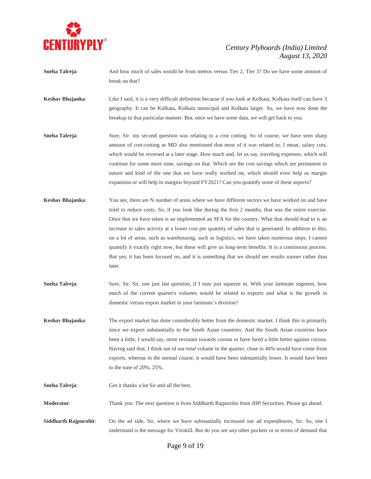

- **Sneha Talreja:** And how much of sales would be from metros versus Tier 2, Tier 3? Do we have some amount of break on that?
- **Keshav Bhajanka**: Like I said, it is a very difficult definition because if you look at Kolkata, Kolkata itself can have 3 geography. It can be Kolkata, Kolkata municipal and Kolkata larger. So, we have now done the breakup in that particular manner. But, once we have some data, we will get back to you.
- **Sneha Talreja:** Sure, Sir. my second question was relating to a cost cutting. So of course, we have seen sharp amount of cost-cutting as MD also mentioned that most of it was related to, I mean, salary cuts, which would be reversed at a later stage. How much and, let us say, traveling expenses, which will continue for some more time, savings on that. Which are the cost savings which are permanent in nature and kind of the one that we have really worked on, which should even help us margin expansion or will help in margins beyond FY2021? Can you quantify some of these aspects?
- **Keshav Bhajanka**: You see, there are N number of areas where we have different sectors we have worked on and have tried to reduce costs. So, if you look like during the first 2 months, that was the entire exercise. Once that we have taken is an implemented an SFA for the country. What that should lead to is an increase in sales activity at a lower cost per quantity of sales that is generated. In addition to this, on a lot of areas, such as warehousing, such as logistics, we have taken numerous steps. I cannot quantify it exactly right now, but these will give us long-term benefits. It is a continuous process. But yes, it has been focused on, and it is something that we should see results sooner rather than later.
- **Sneha Talreja:** Sure, Sir. Sir, one just last question, if I may just squeeze in. With your laminate segment, how much of the current quarter's volumes would be related to exports and what is the growth in domestic versus export market in your laminate's division?
- **Keshav Bhajanka**: The export market has done considerably better from the domestic market. I think this is primarily since we export substantially to the South Asian countries. And the South Asian countries have been a little, I would say, more resistant towards corona or have fared a little better against corona. Having said that, I think out of our total volume in the quarter, close to 40% would have come from exports, whereas in the normal course, it would have been substantially lower. It would have been to the tune of 20%, 25%.
- **Sneha Talreja**: Got it thanks a lot Sir and all the best.

**Moderator:** Thank you. The next question is from Siddharth Rajpurohit from JHP Securities. Please go ahead.

**Siddharth Rajpurohit**: On the ad side, Sir, where we have substantially increased our ad expenditures, Sir. So, one I understand is the message for Virokill. But do you see any other pockets or in terms of demand that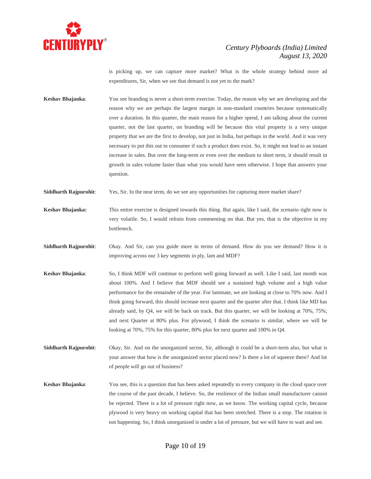

is picking up, we can capture more market? What is the whole strategy behind more ad expenditures, Sir, when we see that demand is not yet to the mark?

**Keshav Bhajanka**: You see branding is never a short-term exercise. Today, the reason why we are developing and the reason why we are perhaps the largest margin in non-standard countries because systematically over a duration. In this quarter, the main reason for a higher spend, I am talking about the current quarter, not the last quarter, on branding will be because this vital property is a very unique property that we are the first to develop, not just in India, but perhaps in the world. And it was very necessary to put this out to consumer if such a product does exist. So, it might not lead to an instant increase in sales. But over the long-term or even over the medium to short term, it should result in growth in sales volume faster than what you would have seen otherwise. I hope that answers your question.

**Siddharth Rajpurohit:** Yes, Sir. In the near term, do we see any opportunities for capturing more market share?

- **Keshav Bhajanka:** This entire exercise is designed towards this thing. But again, like I said, the scenario right now is very volatile. So, I would refrain from commenting on that. But yes, that is the objective in my bottleneck.
- **Siddharth Rajpurohit**: Okay. And Sir, can you guide more in terms of demand. How do you see demand? How it is improving across our 3 key segments in ply, lam and MDF?
- **Keshav Bhajanka**: So, I think MDF will continue to perform well going forward as well. Like I said, last month was about 100%. And I believe that MDF should see a sustained high volume and a high value performance for the remainder of the year. For laminate, we are looking at close to 70% now. And I think going forward, this should increase next quarter and the quarter after that. I think like MD has already said, by Q4, we will be back on track. But this quarter, we will be looking at 70%, 75%; and next Quarter at 80% plus. For plywood, I think the scenario is similar, where we will be looking at 70%, 75% for this quarter, 80% plus for next quarter and 100% in Q4.
- **Siddharth Rajpurohit**: Okay, Sir. And on the unorganized sector, Sir, although it could be a short-term also, but what is your answer that how is the unorganized sector placed now? Is there a lot of squeeze there? And lot of people will go out of business?
- **Keshav Bhajanka:** You see, this is a question that has been asked repeatedly to every company in the cloud space over the course of the past decade, I believe. So, the resilience of the Indian small manufacturer cannot be rejected. There is a lot of pressure right now, as we know. The working capital cycle, because plywood is very heavy on working capital that has been stretched. There is a stop. The rotation is not happening. So, I think unorganized is under a lot of pressure, but we will have to wait and see.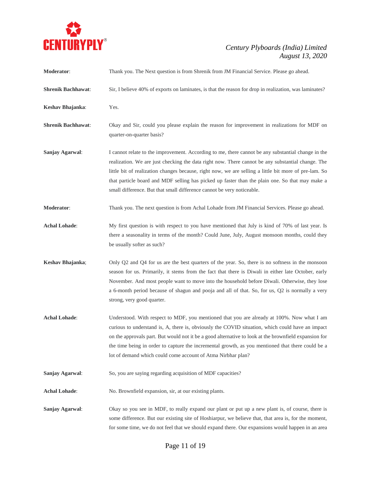

| <b>Moderator:</b>         | Thank you. The Next question is from Shrenik from JM Financial Service. Please go ahead.                                                                                                                                                                                                                                                                                                                                                                                                      |
|---------------------------|-----------------------------------------------------------------------------------------------------------------------------------------------------------------------------------------------------------------------------------------------------------------------------------------------------------------------------------------------------------------------------------------------------------------------------------------------------------------------------------------------|
| <b>Shrenik Bachhawat:</b> | Sir, I believe 40% of exports on laminates, is that the reason for drop in realization, was laminates?                                                                                                                                                                                                                                                                                                                                                                                        |
| Keshav Bhajanka:          | Yes.                                                                                                                                                                                                                                                                                                                                                                                                                                                                                          |
| <b>Shrenik Bachhawat:</b> | Okay and Sir, could you please explain the reason for improvement in realizations for MDF on<br>quarter-on-quarter basis?                                                                                                                                                                                                                                                                                                                                                                     |
| Sanjay Agarwal:           | I cannot relate to the improvement. According to me, there cannot be any substantial change in the<br>realization. We are just checking the data right now. There cannot be any substantial change. The<br>little bit of realization changes because, right now, we are selling a little bit more of pre-lam. So<br>that particle board and MDF selling has picked up faster than the plain one. So that may make a<br>small difference. But that small difference cannot be very noticeable. |
| Moderator:                | Thank you. The next question is from Achal Lohade from JM Financial Services. Please go ahead.                                                                                                                                                                                                                                                                                                                                                                                                |
| <b>Achal Lohade:</b>      | My first question is with respect to you have mentioned that July is kind of 70% of last year. Is<br>there a seasonality in terms of the month? Could June, July, August monsoon months, could they<br>be usually softer as such?                                                                                                                                                                                                                                                             |
| Keshav Bhajanka;          | Only Q2 and Q4 for us are the best quarters of the year. So, there is no softness in the monsoon<br>season for us. Primarily, it stems from the fact that there is Diwali in either late October, early<br>November. And most people want to move into the household before Diwali. Otherwise, they lose<br>a 6-month period because of shagun and pooja and all of that. So, for us, Q2 is normally a very<br>strong, very good quarter.                                                     |
| <b>Achal Lohade:</b>      | Understood. With respect to MDF, you mentioned that you are already at 100%. Now what I am<br>curious to understand is, A, there is, obviously the COVID situation, which could have an impact<br>on the approvals part. But would not it be a good alternative to look at the brownfield expansion for<br>the time being in order to capture the incremental growth, as you mentioned that there could be a<br>lot of demand which could come account of Atma Nirbhar plan?                  |
| Sanjay Agarwal:           | So, you are saying regarding acquisition of MDF capacities?                                                                                                                                                                                                                                                                                                                                                                                                                                   |
| <b>Achal Lohade:</b>      | No. Brownfield expansion, sir, at our existing plants.                                                                                                                                                                                                                                                                                                                                                                                                                                        |
| Sanjay Agarwal:           | Okay so you see in MDF, to really expand our plant or put up a new plant is, of course, there is<br>some difference. But our existing site of Hoshiarpur, we believe that, that area is, for the moment,<br>for some time, we do not feel that we should expand there. Our expansions would happen in an area                                                                                                                                                                                 |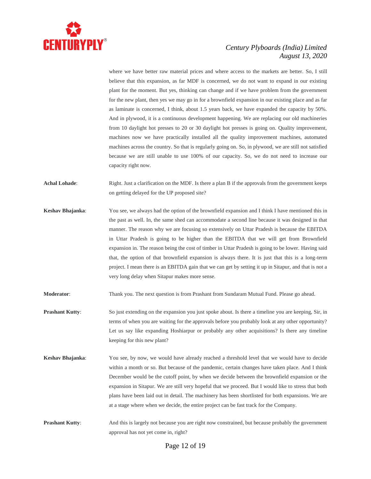

where we have better raw material prices and where access to the markets are better. So, I still believe that this expansion, as far MDF is concerned, we do not want to expand in our existing plant for the moment. But yes, thinking can change and if we have problem from the government for the new plant, then yes we may go in for a brownfield expansion in our existing place and as far as laminate is concerned, I think, about 1.5 years back, we have expanded the capacity by 50%. And in plywood, it is a continuous development happening. We are replacing our old machineries from 10 daylight hot presses to 20 or 30 daylight hot presses is going on. Quality improvement, machines now we have practically installed all the quality improvement machines, automated machines across the country. So that is regularly going on. So, in plywood, we are still not satisfied because we are still unable to use 100% of our capacity. So, we do not need to increase our capacity right now.

**Achal Lohade**: Right. Just a clarification on the MDF. Is there a plan B if the approvals from the government keeps on getting delayed for the UP proposed site?

**Keshav Bhajanka**: You see, we always had the option of the brownfield expansion and I think I have mentioned this in the past as well. In, the same shed can accommodate a second line because it was designed in that manner. The reason why we are focusing so extensively on Uttar Pradesh is because the EBITDA in Uttar Pradesh is going to be higher than the EBITDA that we will get from Brownfield expansion in. The reason being the cost of timber in Uttar Pradesh is going to be lower. Having said that, the option of that brownfield expansion is always there. It is just that this is a long-term project. I mean there is an EBITDA gain that we can get by setting it up in Sitapur, and that is not a very long delay when Sitapur makes more sense.

**Moderator**: Thank you. The next question is from Prashant from Sundaram Mutual Fund. Please go ahead.

- **Prashant Kutty**: So just extending on the expansion you just spoke about. Is there a timeline you are keeping, Sir, in terms of when you are waiting for the approvals before you probably look at any other opportunity? Let us say like expanding Hoshiarpur or probably any other acquisitions? Is there any timeline keeping for this new plant?
- **Keshav Bhajanka**: You see, by now, we would have already reached a threshold level that we would have to decide within a month or so. But because of the pandemic, certain changes have taken place. And I think December would be the cutoff point, by when we decide between the brownfield expansion or the expansion in Sitapur. We are still very hopeful that we proceed. But I would like to stress that both plans have been laid out in detail. The machinery has been shortlisted for both expansions. We are at a stage where when we decide, the entire project can be fast track for the Company.
- **Prashant Kutty:** And this is largely not because you are right now constrained, but because probably the government approval has not yet come in, right?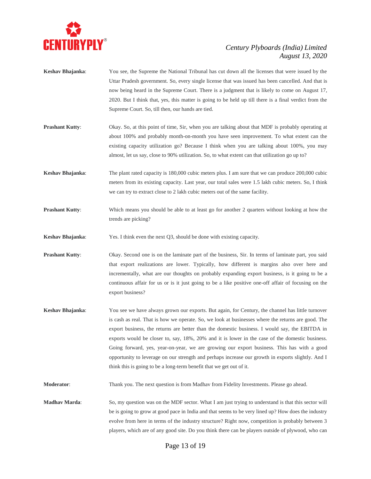

- **Keshav Bhajanka**: You see, the Supreme the National Tribunal has cut down all the licenses that were issued by the Uttar Pradesh government. So, every single license that was issued has been cancelled. And that is now being heard in the Supreme Court. There is a judgment that is likely to come on August 17, 2020. But I think that, yes, this matter is going to be held up till there is a final verdict from the Supreme Court. So, till then, our hands are tied.
- **Prashant Kutty**: Okay. So, at this point of time, Sir, when you are talking about that MDF is probably operating at about 100% and probably month-on-month you have seen improvement. To what extent can the existing capacity utilization go? Because I think when you are talking about 100%, you may almost, let us say, close to 90% utilization. So, to what extent can that utilization go up to?
- **Keshav Bhajanka**: The plant rated capacity is 180,000 cubic meters plus. I am sure that we can produce 200,000 cubic meters from its existing capacity. Last year, our total sales were 1.5 lakh cubic meters. So, I think we can try to extract close to 2 lakh cubic meters out of the same facility.
- **Prashant Kutty:** Which means you should be able to at least go for another 2 quarters without looking at how the trends are picking?
- **Keshav Bhajanka:** Yes. I think even the next Q3, should be done with existing capacity.
- **Prashant Kutty**: Okay. Second one is on the laminate part of the business, Sir. In terms of laminate part, you said that export realizations are lower. Typically, how different is margins also over here and incrementally, what are our thoughts on probably expanding export business, is it going to be a continuous affair for us or is it just going to be a like positive one-off affair of focusing on the export business?
- **Keshav Bhajanka**: You see we have always grown our exports. But again, for Century, the channel has little turnover is cash as real. That is how we operate. So, we look at businesses where the returns are good. The export business, the returns are better than the domestic business. I would say, the EBITDA in exports would be closer to, say, 18%, 20% and it is lower in the case of the domestic business. Going forward, yes, year-on-year, we are growing our export business. This has with a good opportunity to leverage on our strength and perhaps increase our growth in exports slightly. And I think this is going to be a long-term benefit that we get out of it.

**Moderator**: Thank you. The next question is from Madhav from Fidelity Investments. Please go ahead.

**Madhav Marda**: So, my question was on the MDF sector. What I am just trying to understand is that this sector will be is going to grow at good pace in India and that seems to be very lined up? How does the industry evolve from here in terms of the industry structure? Right now, competition is probably between 3 players, which are of any good site. Do you think there can be players outside of plywood, who can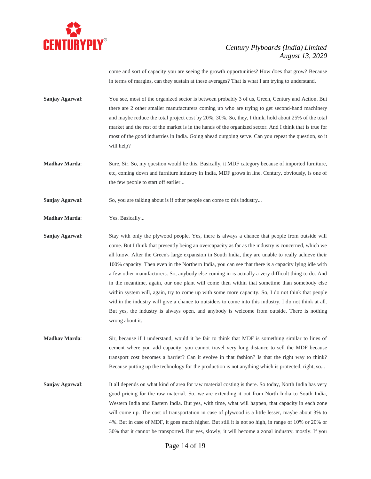

come and sort of capacity you are seeing the growth opportunities? How does that grow? Because in terms of margins, can they sustain at these averages? That is what I am trying to understand.

- **Sanjay Agarwal:** You see, most of the organized sector is between probably 3 of us, Green, Century and Action. But there are 2 other smaller manufacturers coming up who are trying to get second-hand machinery and maybe reduce the total project cost by 20%, 30%. So, they, I think, hold about 25% of the total market and the rest of the market is in the hands of the organized sector. And I think that is true for most of the good industries in India. Going ahead outgoing serve. Can you repeat the question, so it will help?
- **Madhav Marda:** Sure, Sir. So, my question would be this. Basically, it MDF category because of imported furniture, etc, coming down and furniture industry in India, MDF grows in line. Century, obviously, is one of the few people to start off earlier...
- **Sanjay Agarwal:** So, you are talking about is if other people can come to this industry...
- **Madhav Marda**: Yes. Basically...
- **Sanjay Agarwal:** Stay with only the plywood people. Yes, there is always a chance that people from outside will come. But I think that presently being an overcapacity as far as the industry is concerned, which we all know. After the Green's large expansion in South India, they are unable to really achieve their 100% capacity. Then even in the Northern India, you can see that there is a capacity lying idle with a few other manufacturers. So, anybody else coming in is actually a very difficult thing to do. And in the meantime, again, our one plant will come then within that sometime than somebody else within system will, again, try to come up with some more capacity. So, I do not think that people within the industry will give a chance to outsiders to come into this industry. I do not think at all. But yes, the industry is always open, and anybody is welcome from outside. There is nothing wrong about it.
- **Madhav Marda**: Sir, because if I understand, would it be fair to think that MDF is something similar to lines of cement where you add capacity, you cannot travel very long distance to sell the MDF because transport cost becomes a barrier? Can it evolve in that fashion? Is that the right way to think? Because putting up the technology for the production is not anything which is protected, right, so...
- **Sanjay Agarwal:** It all depends on what kind of area for raw material costing is there. So today, North India has very good pricing for the raw material. So, we are extending it out from North India to South India, Western India and Eastern India. But yes, with time, what will happen, that capacity in each zone will come up. The cost of transportation in case of plywood is a little lesser, maybe about 3% to 4%. But in case of MDF, it goes much higher. But still it is not so high, in range of 10% or 20% or 30% that it cannot be transported. But yes, slowly, it will become a zonal industry, mostly. If you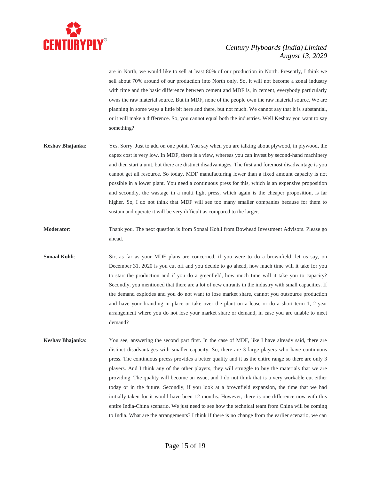

are in North, we would like to sell at least 80% of our production in North. Presently, I think we sell about 70% around of our production into North only. So, it will not become a zonal industry with time and the basic difference between cement and MDF is, in cement, everybody particularly owns the raw material source. But in MDF, none of the people own the raw material source. We are planning in some ways a little bit here and there, but not much. We cannot say that it is substantial, or it will make a difference. So, you cannot equal both the industries. Well Keshav you want to say something?

- **Keshav Bhajanka**: Yes. Sorry. Just to add on one point. You say when you are talking about plywood, in plywood, the capex cost is very low. In MDF, there is a view, whereas you can invest by second-hand machinery and then start a unit, but there are distinct disadvantages. The first and foremost disadvantage is you cannot get all resource. So today, MDF manufacturing lower than a fixed amount capacity is not possible in a lower plant. You need a continuous press for this, which is an expensive proposition and secondly, the wastage in a multi light press, which again is the cheaper proposition, is far higher. So, I do not think that MDF will see too many smaller companies because for them to sustain and operate it will be very difficult as compared to the larger.
- **Moderator**: Thank you. The next question is from Sonaal Kohli from Bowhead Investment Advisors. Please go ahead.
- **Sonaal Kohli:** Sir, as far as your MDF plans are concerned, if you were to do a brownfield, let us say, on December 31, 2020 is you cut off and you decide to go ahead, how much time will it take for you to start the production and if you do a greenfield, how much time will it take you to capacity? Secondly, you mentioned that there are a lot of new entrants in the industry with small capacities. If the demand explodes and you do not want to lose market share, cannot you outsource production and have your branding in place or take over the plant on a lease or do a short-term 1, 2-year arrangement where you do not lose your market share or demand, in case you are unable to meet demand?
- **Keshav Bhajanka**: You see, answering the second part first. In the case of MDF, like I have already said, there are distinct disadvantages with smaller capacity. So, there are 3 large players who have continuous press. The continuous preess provides a better quality and it as the entire range so there are only 3 players. And I think any of the other players, they will struggle to buy the materials that we are providing. The quality will become an issue, and I do not think that is a very workable cut either today or in the future. Secondly, if you look at a brownfield expansion, the time that we had initially taken for it would have been 12 months. However, there is one difference now with this entire India-China scenario. We just need to see how the technical team from China will be coming to India. What are the arrangements? I think if there is no change from the earlier scenario, we can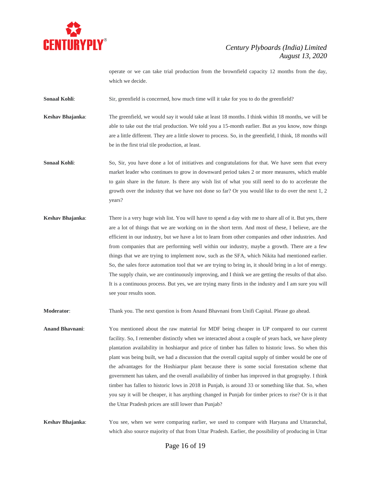

operate or we can take trial production from the brownfield capacity 12 months from the day, which we decide.

**Sonaal Kohli:** Sir, greenfield is concerned, how much time will it take for you to do the greenfield?

**Keshav Bhajanka**: The greenfield, we would say it would take at least 18 months. I think within 18 months, we will be able to take out the trial production. We told you a 15-month earlier. But as you know, now things are a little different. They are a little slower to process. So, in the greenfield, I think, 18 months will be in the first trial tile production, at least.

**Sonaal Kohli:** So, Sir, you have done a lot of initiatives and congratulations for that. We have seen that every market leader who continues to grow in downward period takes 2 or more measures, which enable to gain share in the future. Is there any wish list of what you still need to do to accelerate the growth over the industry that we have not done so far? Or you would like to do over the next 1, 2 years?

**Keshav Bhajanka**: There is a very huge wish list. You will have to spend a day with me to share all of it. But yes, there are a lot of things that we are working on in the short term. And most of these, I believe, are the efficient in our industry, but we have a lot to learn from other companies and other industries. And from companies that are performing well within our industry, maybe a growth. There are a few things that we are trying to implement now, such as the SFA, which Nikita had mentioned earlier. So, the sales force automation tool that we are trying to bring in, it should bring in a lot of energy. The supply chain, we are continuously improving, and I think we are getting the results of that also. It is a continuous process. But yes, we are trying many firsts in the industry and I am sure you will see your results soon.

**Moderator**: Thank you. The next question is from Anand Bhavnani from Unifi Capital. Please go ahead.

**Anand Bhavnani**: You mentioned about the raw material for MDF being cheaper in UP compared to our current facility. So, I remember distinctly when we interacted about a couple of years back, we have plenty plantation availability in hoshiarpur and price of timber has fallen to historic lows. So when this plant was being built, we had a discussion that the overall capital supply of timber would be one of the advantages for the Hoshiarpur plant because there is some social forestation scheme that government has taken, and the overall availability of timber has improved in that geography. I think timber has fallen to historic lows in 2018 in Punjab, is around 33 or something like that. So, when you say it will be cheaper, it has anything changed in Punjab for timber prices to rise? Or is it that the Uttar Pradesh prices are still lower than Punjab?

**Keshav Bhajanka**: You see, when we were comparing earlier, we used to compare with Haryana and Uttaranchal, which also source majority of that from Uttar Pradesh. Earlier, the possibility of producing in Uttar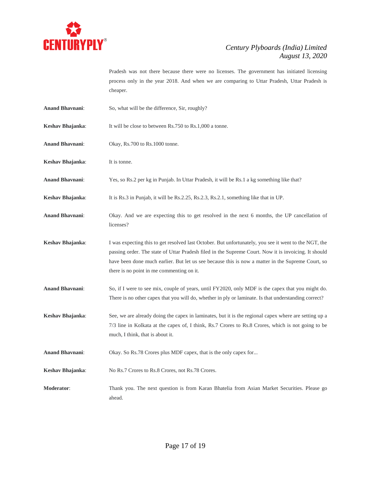

Pradesh was not there because there were no licenses. The government has initiated licensing process only in the year 2018. And when we are comparing to Uttar Pradesh, Uttar Pradesh is cheaper.

- **Anand Bhavnani**: So, what will be the difference, Sir, roughly?
- **Keshav Bhajanka:** It will be close to between Rs.750 to Rs.1,000 a tonne.
- **Anand Bhavnani**: Okay, Rs.700 to Rs.1000 tonne.
- **Keshav Bhajanka**: It is tonne.
- **Anand Bhavnani**: Yes, so Rs.2 per kg in Punjab. In Uttar Pradesh, it will be Rs.1 a kg something like that?
- **Keshav Bhajanka:** It is Rs.3 in Punjab, it will be Rs.2.25, Rs.2.3, Rs.2.1, something like that in UP.
- **Anand Bhavnani**: Okay. And we are expecting this to get resolved in the next 6 months, the UP cancellation of licenses?
- **Keshav Bhajanka**: I was expecting this to get resolved last October. But unfortunately, you see it went to the NGT, the passing order. The state of Uttar Pradesh filed in the Supreme Court. Now it is invoicing. It should have been done much earlier. But let us see because this is now a matter in the Supreme Court, so there is no point in me commenting on it.
- **Anand Bhavnani**: So, if I were to see mix, couple of years, until FY2020, only MDF is the capex that you might do. There is no other capex that you will do, whether in ply or laminate. Is that understanding correct?
- **Keshav Bhajanka**: See, we are already doing the capex in laminates, but it is the regional capex where are setting up a 7/3 line in Kolkata at the capex of, I think, Rs.7 Crores to Rs.8 Crores, which is not going to be much, I think, that is about it.
- **Anand Bhavnani**: Okay. So Rs.78 Crores plus MDF capex, that is the only capex for...
- **Keshav Bhajanka**: No Rs.7 Crores to Rs.8 Crores, not Rs.78 Crores.
- **Moderator**: Thank you. The next question is from Karan Bhatelia from Asian Market Securities. Please go ahead.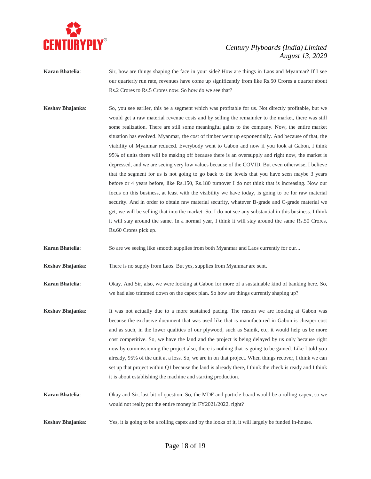

- **Karan Bhatelia**: Sir, how are things shaping the face in your side? How are things in Laos and Myanmar? If I see our quarterly run rate, revenues have come up significantly from like Rs.50 Crores a quarter about Rs.2 Crores to Rs.5 Crores now. So how do we see that?
- **Keshav Bhajanka**: So, you see earlier, this be a segment which was profitable for us. Not directly profitable, but we would get a raw material revenue costs and by selling the remainder to the market, there was still some realization. There are still some meaningful gains to the company. Now, the entire market situation has evolved. Myanmar, the cost of timber went up exponentially. And because of that, the viability of Myanmar reduced. Everybody went to Gabon and now if you look at Gabon, I think 95% of units there will be making off because there is an oversupply and right now, the market is depressed, and we are seeing very low values because of the COVID. But even otherwise, I believe that the segment for us is not going to go back to the levels that you have seen maybe 3 years before or 4 years before, like Rs.150, Rs.180 turnover I do not think that is increasing. Now our focus on this business, at least with the visibility we have today, is going to be for raw material security. And in order to obtain raw material security, whatever B-grade and C-grade material we get, we will be selling that into the market. So, I do not see any substantial in this business. I think it will stay around the same. In a normal year, I think it will stay around the same Rs.50 Crores, Rs.60 Crores pick up.

**Karan Bhatelia:** So are we seeing like smooth supplies from both Myanmar and Laos currently for our...

**Keshav Bhajanka**: There is no supply from Laos. But yes, supplies from Myanmar are sent.

**Karan Bhatelia**: Okay. And Sir, also, we were looking at Gabon for more of a sustainable kind of banking here. So, we had also trimmed down on the capex plan. So how are things currently shaping up?

- **Keshav Bhajanka**: It was not actually due to a more sustained pacing. The reason we are looking at Gabon was because the exclusive document that was used like that is manufactured in Gabon is cheaper cost and as such, in the lower qualities of our plywood, such as Sainik, etc, it would help us be more cost competitive. So, we have the land and the project is being delayed by us only because right now by commissioning the project also, there is nothing that is going to be gained. Like I told you already, 95% of the unit at a loss. So, we are in on that project. When things recover, I think we can set up that project within Q1 because the land is already there, I think the check is ready and I think it is about establishing the machine and starting production.
- **Karan Bhatelia**: Okay and Sir, last bit of question. So, the MDF and particle board would be a rolling capex, so we would not really put the entire money in FY2021/2022, right?
- **Keshav Bhajanka**: Yes, it is going to be a rolling capex and by the looks of it, it will largely be funded in-house.